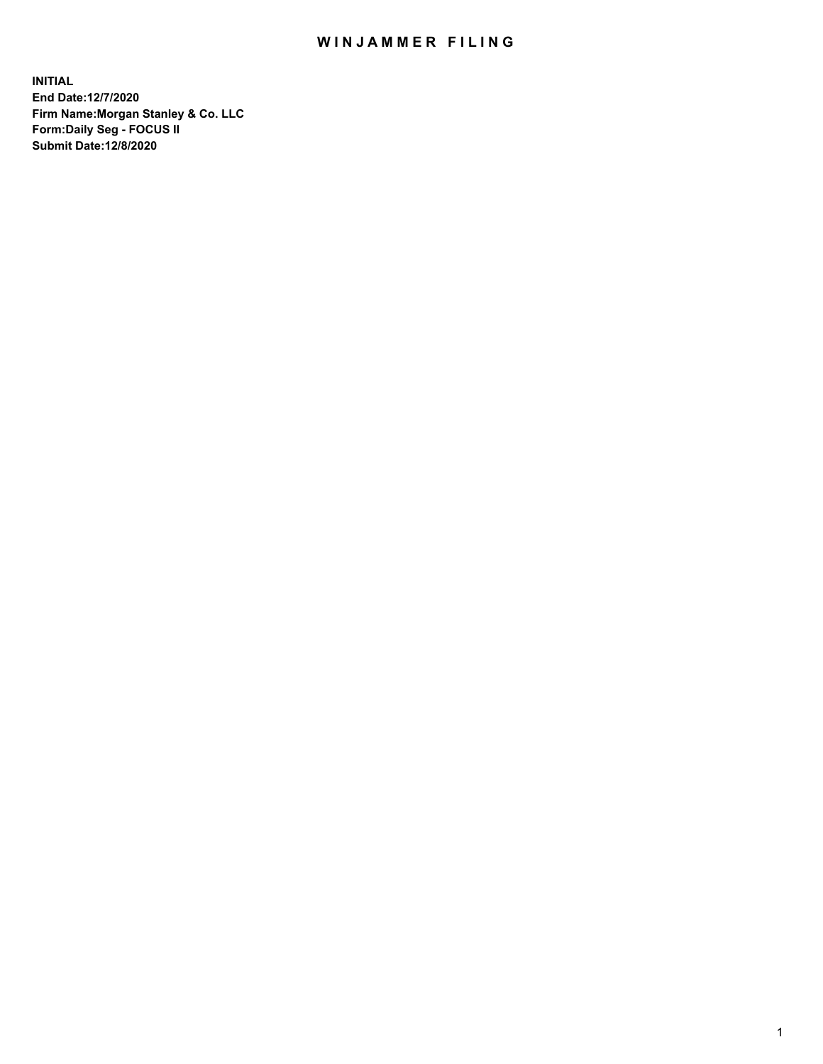## WIN JAMMER FILING

**INITIAL End Date:12/7/2020 Firm Name:Morgan Stanley & Co. LLC Form:Daily Seg - FOCUS II Submit Date:12/8/2020**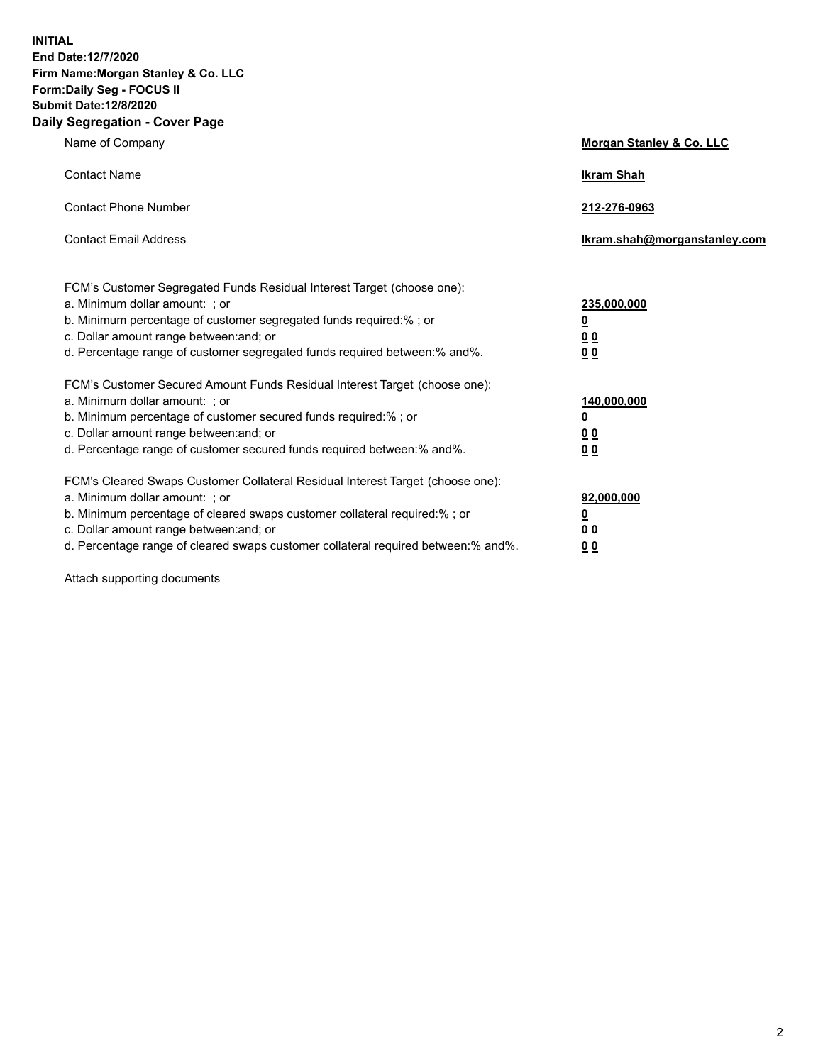**INITIAL End Date:12/7/2020 Firm Name:Morgan Stanley & Co. LLC Form:Daily Seg - FOCUS II Submit Date:12/8/2020 Daily Segregation - Cover Page**

| Name of Company                                                                                                                                                                                                                                                                                                                | Morgan Stanley & Co. LLC                               |
|--------------------------------------------------------------------------------------------------------------------------------------------------------------------------------------------------------------------------------------------------------------------------------------------------------------------------------|--------------------------------------------------------|
| <b>Contact Name</b>                                                                                                                                                                                                                                                                                                            | <b>Ikram Shah</b>                                      |
| <b>Contact Phone Number</b>                                                                                                                                                                                                                                                                                                    | 212-276-0963                                           |
| <b>Contact Email Address</b>                                                                                                                                                                                                                                                                                                   | Ikram.shah@morganstanley.com                           |
| FCM's Customer Segregated Funds Residual Interest Target (choose one):<br>a. Minimum dollar amount: ; or<br>b. Minimum percentage of customer segregated funds required:% ; or<br>c. Dollar amount range between: and; or<br>d. Percentage range of customer segregated funds required between:% and%.                         | 235,000,000<br><u>0</u><br><u>00</u><br>0 <sub>0</sub> |
| FCM's Customer Secured Amount Funds Residual Interest Target (choose one):<br>a. Minimum dollar amount: ; or<br>b. Minimum percentage of customer secured funds required:% ; or<br>c. Dollar amount range between: and; or<br>d. Percentage range of customer secured funds required between:% and%.                           | 140,000,000<br><u>0</u><br><u>00</u><br>0 <sub>0</sub> |
| FCM's Cleared Swaps Customer Collateral Residual Interest Target (choose one):<br>a. Minimum dollar amount: ; or<br>b. Minimum percentage of cleared swaps customer collateral required:% ; or<br>c. Dollar amount range between: and; or<br>d. Percentage range of cleared swaps customer collateral required between:% and%. | 92,000,000<br><u>0</u><br><u>00</u><br>00              |

Attach supporting documents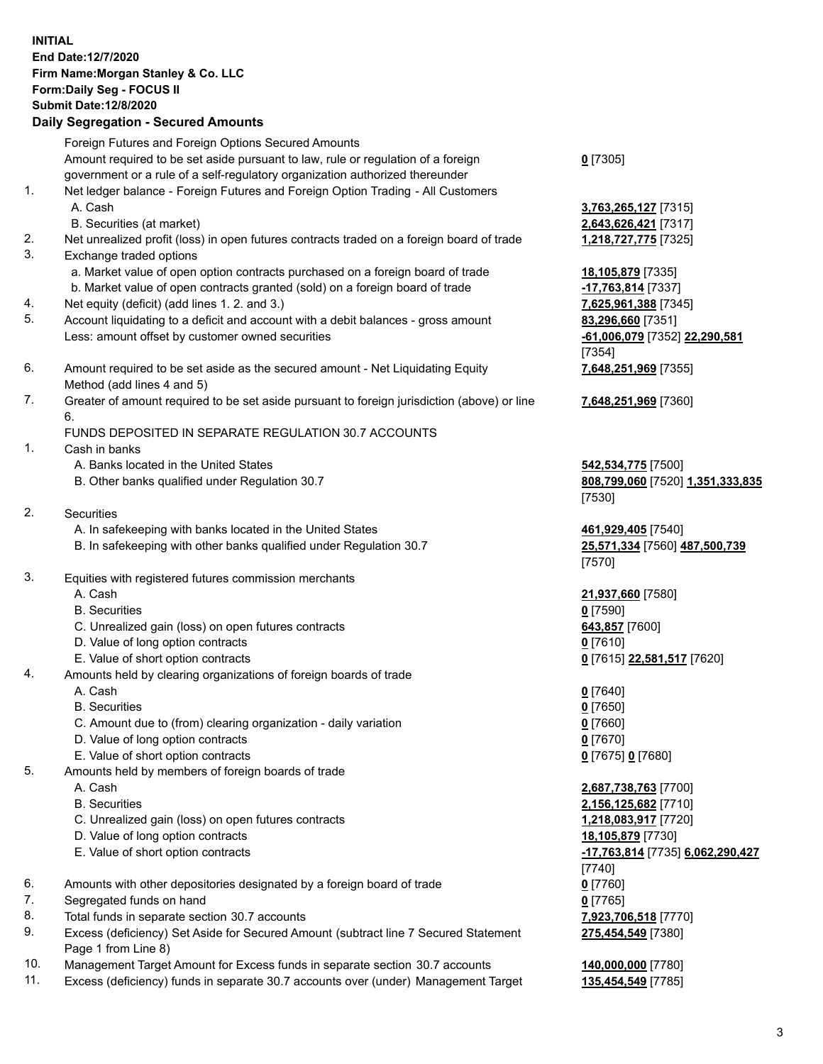## **INITIAL End Date:12/7/2020 Firm Name:Morgan Stanley & Co. LLC Form:Daily Seg - FOCUS II Submit Date:12/8/2020 Daily Segregation - Secured Amounts** Foreign Futures and Foreign Options Secured Amounts Amount required to be set aside pursuant to law, rule or regulation of a foreign government or a rule of a self-regulatory organization authorized thereunder 1. Net ledger balance - Foreign Futures and Foreign Option Trading - All Customers A. Cash **3,763,265,127** [7315] B. Securities (at market) **2,643,626,421** [7317] 2. Net unrealized profit (loss) in open futures contracts traded on a foreign board of trade **1,218,727,775** [7325] 3. Exchange traded options a. Market value of open option contracts purchased on a foreign board of trade **18,105,879** [7335] b. Market value of open contracts granted (sold) on a foreign board of trade **-17,763,814** [7337] 4. Net equity (deficit) (add lines 1. 2. and 3.) **7,625,961,388** [7345] 5. Account liquidating to a deficit and account with a debit balances - gross amount **83,296,660** [7351] Less: amount offset by customer owned securities **-61,006,079** [7352] **22,290,581** 6. Amount required to be set aside as the secured amount - Net Liquidating Equity Method (add lines 4 and 5) 7. Greater of amount required to be set aside pursuant to foreign jurisdiction (above) or line 6. FUNDS DEPOSITED IN SEPARATE REGULATION 30.7 ACCOUNTS 1. Cash in banks A. Banks located in the United States **542,534,775** [7500] B. Other banks qualified under Regulation 30.7 **808,799,060** [7520] **1,351,333,835** 2. Securities A. In safekeeping with banks located in the United States **461,929,405** [7540] B. In safekeeping with other banks qualified under Regulation 30.7 **25,571,334** [7560] **487,500,739** 3. Equities with registered futures commission merchants A. Cash **21,937,660** [7580] B. Securities **0** [7590] C. Unrealized gain (loss) on open futures contracts **643,857** [7600] D. Value of long option contracts **0** [7610] E. Value of short option contracts **0** [7615] **22,581,517** [7620] 4. Amounts held by clearing organizations of foreign boards of trade A. Cash **0** [7640] B. Securities **0** [7650] C. Amount due to (from) clearing organization - daily variation **0** [7660] D. Value of long option contracts **0** [7670]

- E. Value of short option contracts **0** [7675] **0** [7680]
- 5. Amounts held by members of foreign boards of trade
	-
	-
	- C. Unrealized gain (loss) on open futures contracts **1,218,083,917** [7720]
	- D. Value of long option contracts **18,105,879** [7730]
	- E. Value of short option contracts **-17,763,814** [7735] **6,062,290,427**
- 6. Amounts with other depositories designated by a foreign board of trade **0** [7760]
- 7. Segregated funds on hand **0** [7765]
- 8. Total funds in separate section 30.7 accounts **7,923,706,518** [7770]
- 9. Excess (deficiency) Set Aside for Secured Amount (subtract line 7 Secured Statement Page 1 from Line 8)
- 10. Management Target Amount for Excess funds in separate section 30.7 accounts **140,000,000** [7780]
- 11. Excess (deficiency) funds in separate 30.7 accounts over (under) Management Target **135,454,549** [7785]

**0** [7305]

[7354] **7,648,251,969** [7355]

**7,648,251,969** [7360]

[7530]

[7570]

 A. Cash **2,687,738,763** [7700] B. Securities **2,156,125,682** [7710] [7740] **275,454,549** [7380]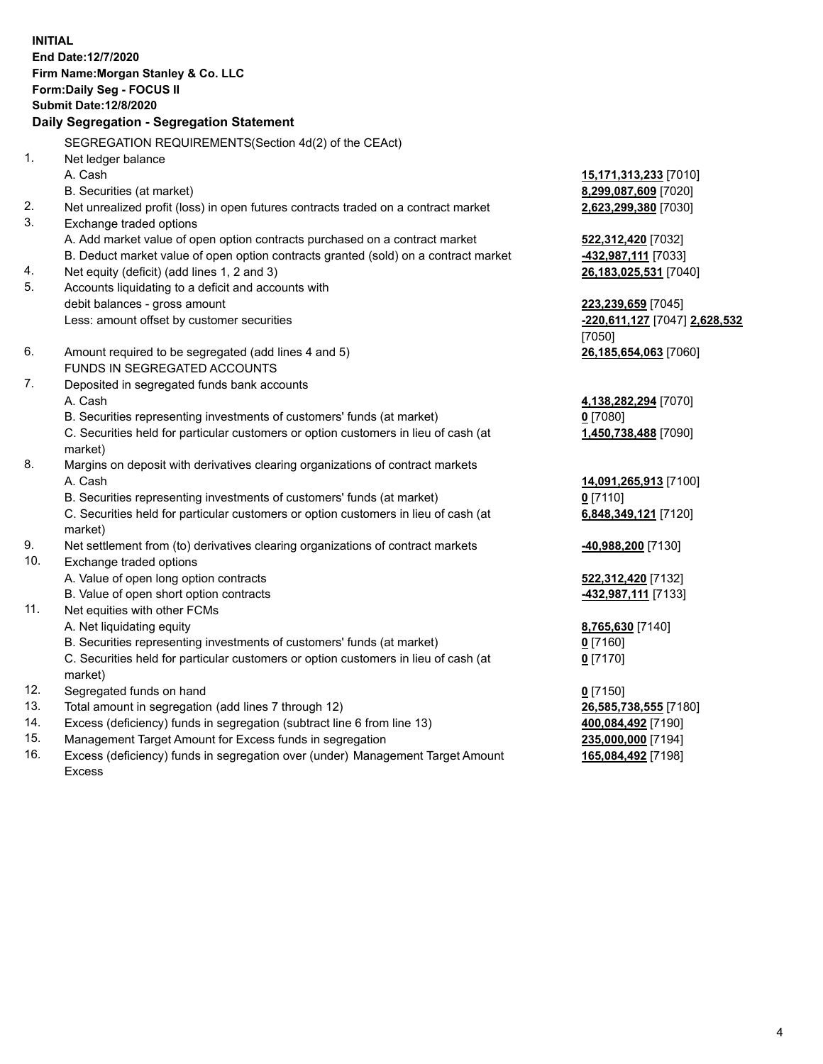**INITIAL End Date:12/7/2020 Firm Name:Morgan Stanley & Co. LLC Form:Daily Seg - FOCUS II Submit Date:12/8/2020 Daily Segregation - Segregation Statement** SEGREGATION REQUIREMENTS(Section 4d(2) of the CEAct) 1. Net ledger balance A. Cash **15,171,313,233** [7010] B. Securities (at market) **8,299,087,609** [7020] 2. Net unrealized profit (loss) in open futures contracts traded on a contract market **2,623,299,380** [7030] 3. Exchange traded options A. Add market value of open option contracts purchased on a contract market **522,312,420** [7032] B. Deduct market value of open option contracts granted (sold) on a contract market **-432,987,111** [7033] 4. Net equity (deficit) (add lines 1, 2 and 3) **26,183,025,531** [7040] 5. Accounts liquidating to a deficit and accounts with debit balances - gross amount **223,239,659** [7045] Less: amount offset by customer securities **-220,611,127** [7047] **2,628,532** [7050] 6. Amount required to be segregated (add lines 4 and 5) **26,185,654,063** [7060] FUNDS IN SEGREGATED ACCOUNTS 7. Deposited in segregated funds bank accounts A. Cash **4,138,282,294** [7070] B. Securities representing investments of customers' funds (at market) **0** [7080] C. Securities held for particular customers or option customers in lieu of cash (at market) **1,450,738,488** [7090] 8. Margins on deposit with derivatives clearing organizations of contract markets A. Cash **14,091,265,913** [7100] B. Securities representing investments of customers' funds (at market) **0** [7110] C. Securities held for particular customers or option customers in lieu of cash (at market) **6,848,349,121** [7120] 9. Net settlement from (to) derivatives clearing organizations of contract markets **-40,988,200** [7130] 10. Exchange traded options A. Value of open long option contracts **522,312,420** [7132] B. Value of open short option contracts **-432,987,111** [7133] 11. Net equities with other FCMs A. Net liquidating equity **8,765,630** [7140] B. Securities representing investments of customers' funds (at market) **0** [7160] C. Securities held for particular customers or option customers in lieu of cash (at market) **0** [7170] 12. Segregated funds on hand **0** [7150] 13. Total amount in segregation (add lines 7 through 12) **26,585,738,555** [7180] 14. Excess (deficiency) funds in segregation (subtract line 6 from line 13) **400,084,492** [7190] 15. Management Target Amount for Excess funds in segregation **235,000,000** [7194]

16. Excess (deficiency) funds in segregation over (under) Management Target Amount Excess

**165,084,492** [7198]